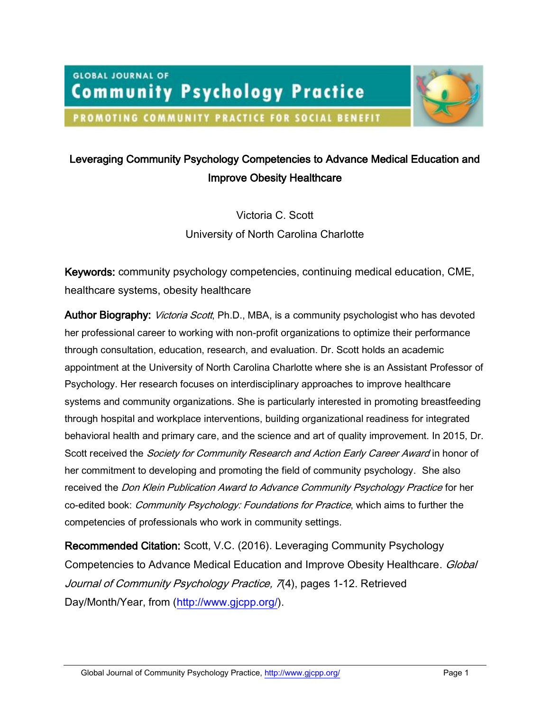**GLOBAL JOURNAL OF Community Psychology Practice** 



## PROMOTING COMMUNITY PRACTICE FOR SOCIAL BENEFIT

# Leveraging Community Psychology Competencies to Advance Medical Education and Improve Obesity Healthcare

Victoria C. Scott University of North Carolina Charlotte

Keywords: community psychology competencies, continuing medical education, CME, healthcare systems, obesity healthcare

Author Biography: Victoria Scott, Ph.D., MBA, is a community psychologist who has devoted her professional career to working with non-profit organizations to optimize their performance through consultation, education, research, and evaluation. Dr. Scott holds an academic appointment at the University of North Carolina Charlotte where she is an Assistant Professor of Psychology. Her research focuses on interdisciplinary approaches to improve healthcare systems and community organizations. She is particularly interested in promoting breastfeeding through hospital and workplace interventions, building organizational readiness for integrated behavioral health and primary care, and the science and art of quality improvement. In 2015, Dr. Scott received the *Society for Community Research and Action Early Career Award* in honor of her commitment to developing and promoting the field of community psychology. She also received the *Don Klein Publication Award to Advance Community Psychology Practice* for her co-edited book: *Community Psychology: Foundations for Practice*, which aims to further the competencies of professionals who work in community settings.

Recommended Citation: Scott, V.C. (2016). Leveraging Community Psychology Competencies to Advance Medical Education and Improve Obesity Healthcare. Global Journal of Community Psychology Practice, 7(4), pages 1-12. Retrieved Day/Month/Year, from [\(http://www.gjcpp.org/\)](http://www.gjcpp.org/).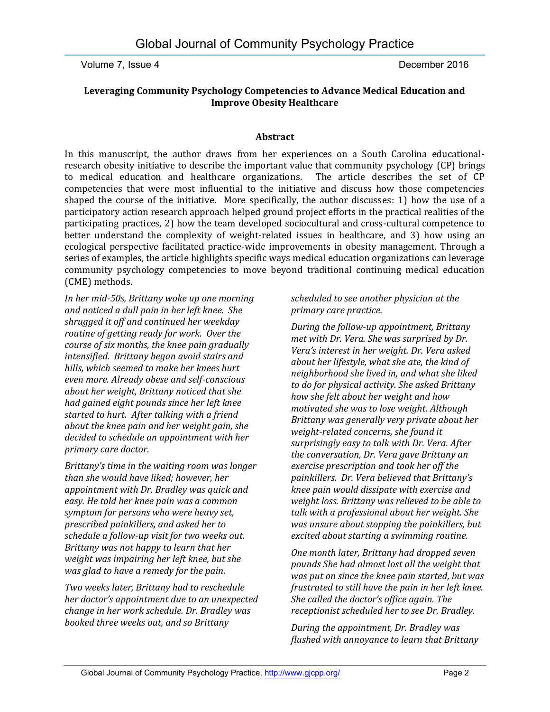### **Leveraging Community Psychology Competencies to Advance Medical Education and Improve Obesity Healthcare**

#### **Abstract**

In this manuscript, the author draws from her experiences on a South Carolina educationalresearch obesity initiative to describe the important value that community psychology (CP) brings to medical education and healthcare organizations. The article describes the set of CP competencies that were most influential to the initiative and discuss how those competencies shaped the course of the initiative. More specifically, the author discusses: 1) how the use of a participatory action research approach helped ground project efforts in the practical realities of the participating practices, 2) how the team developed sociocultural and cross-cultural competence to better understand the complexity of weight-related issues in healthcare, and 3) how using an ecological perspective facilitated practice-wide improvements in obesity management. Through a series of examples, the article highlights specific ways medical education organizations can leverage community psychology competencies to move beyond traditional continuing medical education (CME) methods.

*In her mid-50s, Brittany woke up one morning and noticed a dull pain in her left knee. She shrugged it off and continued her weekday routine of getting ready for work. Over the course of six months, the knee pain gradually intensified. Brittany began avoid stairs and hills, which seemed to make her knees hurt even more. Already obese and self-conscious about her weight, Brittany noticed that she had gained eight pounds since her left knee started to hurt. After talking with a friend about the knee pain and her weight gain, she decided to schedule an appointment with her primary care doctor.* 

*Brittany's time in the waiting room was longer than she would have liked; however, her appointment with Dr. Bradley was quick and easy. He told her knee pain was a common symptom for persons who were heavy set, prescribed painkillers, and asked her to schedule a follow-up visit for two weeks out. Brittany was not happy to learn that her weight was impairing her left knee, but she was glad to have a remedy for the pain.*

*Two weeks later, Brittany had to reschedule her doctor's appointment due to an unexpected change in her work schedule. Dr. Bradley was booked three weeks out, and so Brittany* 

*scheduled to see another physician at the primary care practice.* 

*During the follow-up appointment, Brittany met with Dr. Vera. She was surprised by Dr. Vera's interest in her weight. Dr. Vera asked about her lifestyle, what she ate, the kind of neighborhood she lived in, and what she liked to do for physical activity. She asked Brittany how she felt about her weight and how motivated she was to lose weight. Although Brittany was generally very private about her weight-related concerns, she found it surprisingly easy to talk with Dr. Vera. After the conversation, Dr. Vera gave Brittany an exercise prescription and took her off the painkillers. Dr. Vera believed that Brittany's knee pain would dissipate with exercise and weight loss. Brittany was relieved to be able to talk with a professional about her weight. She was unsure about stopping the painkillers, but excited about starting a swimming routine.* 

*One month later, Brittany had dropped seven pounds She had almost lost all the weight that was put on since the knee pain started, but was frustrated to still have the pain in her left knee. She called the doctor's office again. The receptionist scheduled her to see Dr. Bradley.* 

*During the appointment, Dr. Bradley was flushed with annoyance to learn that Brittany*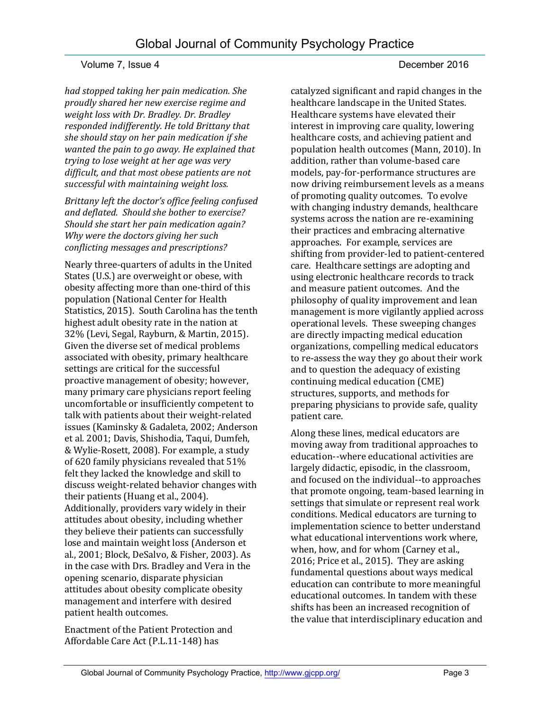*had stopped taking her pain medication. She proudly shared her new exercise regime and weight loss with Dr. Bradley. Dr. Bradley responded indifferently. He told Brittany that she should stay on her pain medication if she wanted the pain to go away. He explained that trying to lose weight at her age was very difficult, and that most obese patients are not successful with maintaining weight loss.* 

*Brittany left the doctor's office feeling confused and deflated. Should she bother to exercise? Should she start her pain medication again? Why were the doctors giving her such conflicting messages and prescriptions?*

Nearly three-quarters of adults in the United States (U.S.) are overweight or obese, with obesity affecting more than one-third of this population (National Center for Health Statistics, 2015). South Carolina has the tenth highest adult obesity rate in the nation at 32% (Levi, Segal, Rayburn, & Martin, 2015). Given the diverse set of medical problems associated with obesity, primary healthcare settings are critical for the successful proactive management of obesity; however, many primary care physicians report feeling uncomfortable or insufficiently competent to talk with patients about their weight-related issues (Kaminsky & Gadaleta, 2002; Anderson et al. 2001; Davis, Shishodia, Taqui, Dumfeh, & Wylie-Rosett, 2008). For example, a study of 620 family physicians revealed that 51% felt they lacked the knowledge and skill to discuss weight-related behavior changes with their patients (Huang et al., 2004). Additionally, providers vary widely in their attitudes about obesity, including whether they believe their patients can successfully lose and maintain weight loss (Anderson et al., 2001; Block, DeSalvo, & Fisher, 2003). As in the case with Drs. Bradley and Vera in the opening scenario, disparate physician attitudes about obesity complicate obesity management and interfere with desired patient health outcomes.

Enactment of the Patient Protection and Affordable Care Act (P.L.11-148) has

catalyzed significant and rapid changes in the healthcare landscape in the United States. Healthcare systems have elevated their interest in improving care quality, lowering healthcare costs, and achieving patient and population health outcomes (Mann, 2010). In addition, rather than volume-based care models, pay-for-performance structures are now driving reimbursement levels as a means of promoting quality outcomes. To evolve with changing industry demands, healthcare systems across the nation are re-examining their practices and embracing alternative approaches. For example, services are shifting from provider-led to patient-centered care. Healthcare settings are adopting and using electronic healthcare records to track and measure patient outcomes. And the philosophy of quality improvement and lean management is more vigilantly applied across operational levels. These sweeping changes are directly impacting medical education organizations, compelling medical educators to re-assess the way they go about their work and to question the adequacy of existing continuing medical education (CME) structures, supports, and methods for preparing physicians to provide safe, quality patient care.

Along these lines, medical educators are moving away from traditional approaches to education--where educational activities are largely didactic, episodic, in the classroom, and focused on the individual--to approaches that promote ongoing, team-based learning in settings that simulate or represent real work conditions. Medical educators are turning to implementation science to better understand what educational interventions work where, when, how, and for whom (Carney et al., 2016; Price et al., 2015). They are asking fundamental questions about ways medical education can contribute to more meaningful educational outcomes. In tandem with these shifts has been an increased recognition of the value that interdisciplinary education and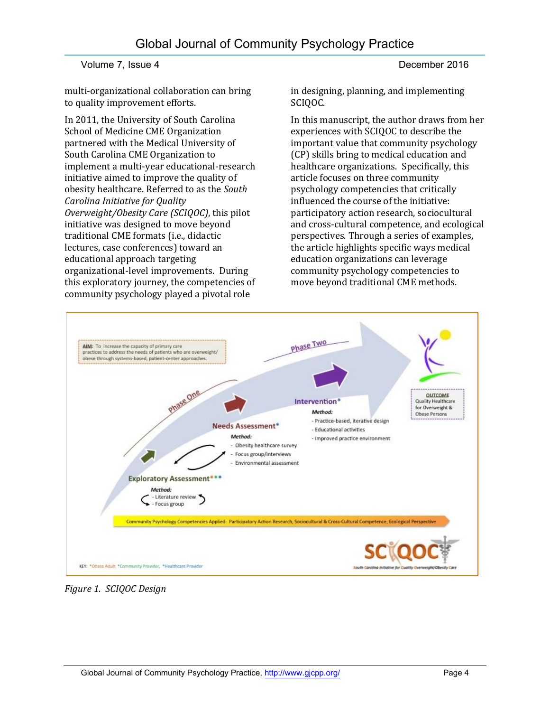multi-organizational collaboration can bring to quality improvement efforts.

In 2011, the University of South Carolina School of Medicine CME Organization partnered with the Medical University of South Carolina CME Organization to implement a multi-year educational-research initiative aimed to improve the quality of obesity healthcare. Referred to as the *South Carolina Initiative for Quality Overweight/Obesity Care (SCIQOC)*, this pilot initiative was designed to move beyond traditional CME formats (i.e., didactic lectures, case conferences) toward an educational approach targeting organizational-level improvements. During this exploratory journey, the competencies of community psychology played a pivotal role

in designing, planning, and implementing SCIOOC.

In this manuscript, the author draws from her experiences with SCIQOC to describe the important value that community psychology (CP) skills bring to medical education and healthcare organizations. Specifically, this article focuses on three community psychology competencies that critically influenced the course of the initiative: participatory action research, sociocultural and cross-cultural competence, and ecological perspectives. Through a series of examples, the article highlights specific ways medical education organizations can leverage community psychology competencies to move beyond traditional CME methods.



*Figure 1. SCIQOC Design*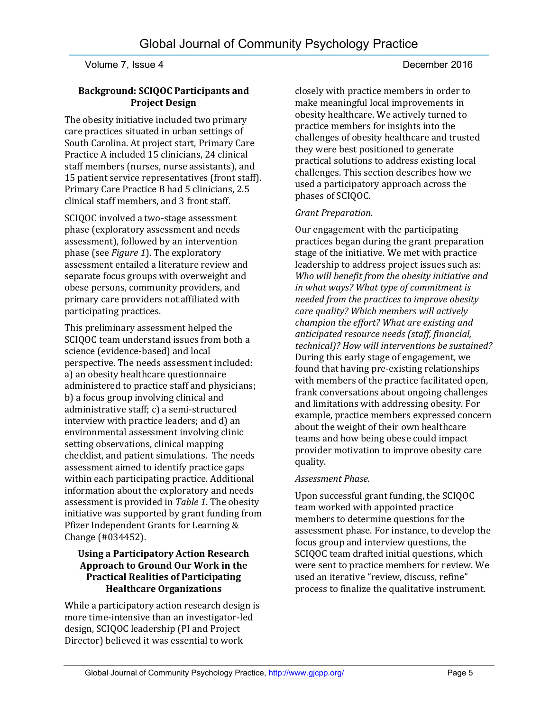#### **Background: SCIQOC Participants and Project Design**

The obesity initiative included two primary care practices situated in urban settings of South Carolina. At project start, Primary Care Practice A included 15 clinicians, 24 clinical staff members (nurses, nurse assistants), and 15 patient service representatives (front staff). Primary Care Practice B had 5 clinicians, 2.5 clinical staff members, and 3 front staff.

SCIQOC involved a two-stage assessment phase (exploratory assessment and needs assessment), followed by an intervention phase (see *Figure 1*). The exploratory assessment entailed a literature review and separate focus groups with overweight and obese persons, community providers, and primary care providers not affiliated with participating practices.

This preliminary assessment helped the SCIQOC team understand issues from both a science (evidence-based) and local perspective. The needs assessment included: a) an obesity healthcare questionnaire administered to practice staff and physicians; b) a focus group involving clinical and administrative staff; c) a semi-structured interview with practice leaders; and d) an environmental assessment involving clinic setting observations, clinical mapping checklist, and patient simulations. The needs assessment aimed to identify practice gaps within each participating practice. Additional information about the exploratory and needs assessment is provided in *Table 1*. The obesity initiative was supported by grant funding from Pfizer Independent Grants for Learning & Change (#034452).

#### **Using a Participatory Action Research Approach to Ground Our Work in the Practical Realities of Participating Healthcare Organizations**

While a participatory action research design is more time-intensive than an investigator-led design, SCIQOC leadership (PI and Project Director) believed it was essential to work

closely with practice members in order to make meaningful local improvements in obesity healthcare. We actively turned to practice members for insights into the challenges of obesity healthcare and trusted they were best positioned to generate practical solutions to address existing local challenges. This section describes how we used a participatory approach across the phases of SCIQOC.

### *Grant Preparation.*

Our engagement with the participating practices began during the grant preparation stage of the initiative. We met with practice leadership to address project issues such as: *Who will benefit from the obesity initiative and in what ways? What type of commitment is needed from the practices to improve obesity care quality? Which members will actively champion the effort? What are existing and anticipated resource needs (staff, financial, technical)? How will interventions be sustained?* During this early stage of engagement, we found that having pre-existing relationships with members of the practice facilitated open, frank conversations about ongoing challenges and limitations with addressing obesity. For example, practice members expressed concern about the weight of their own healthcare teams and how being obese could impact provider motivation to improve obesity care quality.

#### *Assessment Phase.*

Upon successful grant funding, the SCIQOC team worked with appointed practice members to determine questions for the assessment phase. For instance, to develop the focus group and interview questions, the SCIQOC team drafted initial questions, which were sent to practice members for review. We used an iterative "review, discuss, refine" process to finalize the qualitative instrument.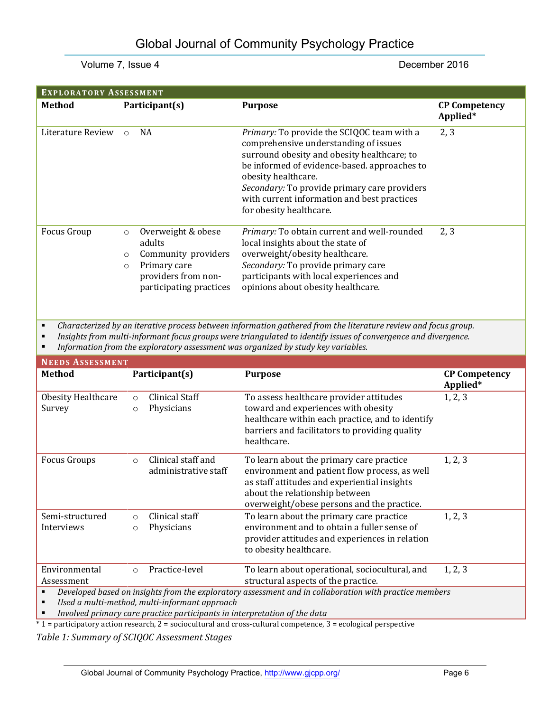| <b>EXPLORATORY ASSESSMENT</b>         |                               |                                                                                                                            |                                                                                                                                                                                                                                                                                                                                     |                                  |
|---------------------------------------|-------------------------------|----------------------------------------------------------------------------------------------------------------------------|-------------------------------------------------------------------------------------------------------------------------------------------------------------------------------------------------------------------------------------------------------------------------------------------------------------------------------------|----------------------------------|
| <b>Method</b>                         |                               | Participant(s)                                                                                                             | <b>Purpose</b>                                                                                                                                                                                                                                                                                                                      | <b>CP Competency</b><br>Applied* |
| Literature Review                     | $\circ$                       | <b>NA</b>                                                                                                                  | Primary: To provide the SCIQOC team with a<br>comprehensive understanding of issues<br>surround obesity and obesity healthcare; to<br>be informed of evidence-based. approaches to<br>obesity healthcare.<br>Secondary: To provide primary care providers<br>with current information and best practices<br>for obesity healthcare. | 2, 3                             |
| Focus Group                           | $\circ$<br>$\circ$<br>$\circ$ | Overweight & obese<br>adults<br>Community providers<br>Primary care<br>providers from non-<br>participating practices      | Primary: To obtain current and well-rounded<br>local insights about the state of<br>overweight/obesity healthcare.<br>Secondary: To provide primary care<br>participants with local experiences and<br>opinions about obesity healthcare.                                                                                           | 2, 3                             |
| $\blacksquare$<br>٠<br>п              |                               |                                                                                                                            | Characterized by an iterative process between information gathered from the literature review and focus group.<br>Insights from multi-informant focus groups were triangulated to identify issues of convergence and divergence.<br>Information from the exploratory assessment was organized by study key variables.               |                                  |
| <b>NEEDS ASSESSMENT</b>               |                               |                                                                                                                            |                                                                                                                                                                                                                                                                                                                                     |                                  |
| <b>Method</b>                         |                               | Participant(s)                                                                                                             | <b>Purpose</b>                                                                                                                                                                                                                                                                                                                      | <b>CP Competency</b><br>Applied* |
| Obesity Healthcare<br>Survey          |                               | <b>Clinical Staff</b><br>$\circ$<br>Physicians<br>$\circ$                                                                  | To assess healthcare provider attitudes<br>toward and experiences with obesity<br>healthcare within each practice, and to identify<br>barriers and facilitators to providing quality<br>healthcare.                                                                                                                                 | 1, 2, 3                          |
| <b>Focus Groups</b>                   |                               | Clinical staff and<br>$\circ$<br>administrative staff                                                                      | To learn about the primary care practice<br>environment and patient flow process, as well<br>as staff attitudes and experiential insights<br>about the relationship between<br>overweight/obese persons and the practice.                                                                                                           | 1, 2, 3                          |
| Semi-structured<br>Interviews         |                               | Clinical staff<br>$\circ$<br>Physicians<br>$\circ$                                                                         | To learn about the primary care practice<br>environment and to obtain a fuller sense of                                                                                                                                                                                                                                             | 1, 2, 3                          |
|                                       |                               |                                                                                                                            | provider attitudes and experiences in relation<br>to obesity healthcare.                                                                                                                                                                                                                                                            |                                  |
| Environmental<br>Assessment           |                               | Practice-level<br>$\circ$                                                                                                  | To learn about operational, sociocultural, and<br>structural aspects of the practice.                                                                                                                                                                                                                                               | 1, 2, 3                          |
| $\blacksquare$<br>$\blacksquare$<br>٠ |                               | Used a multi-method, multi-informant approach<br>Involved primary care practice participants in interpretation of the data | Developed based on insights from the exploratory assessment and in collaboration with practice members                                                                                                                                                                                                                              |                                  |

\* 1 = participatory action research, 2 = sociocultural and cross-cultural competence, 3 = ecological perspective

*Table 1: Summary of SCIQOC Assessment Stages*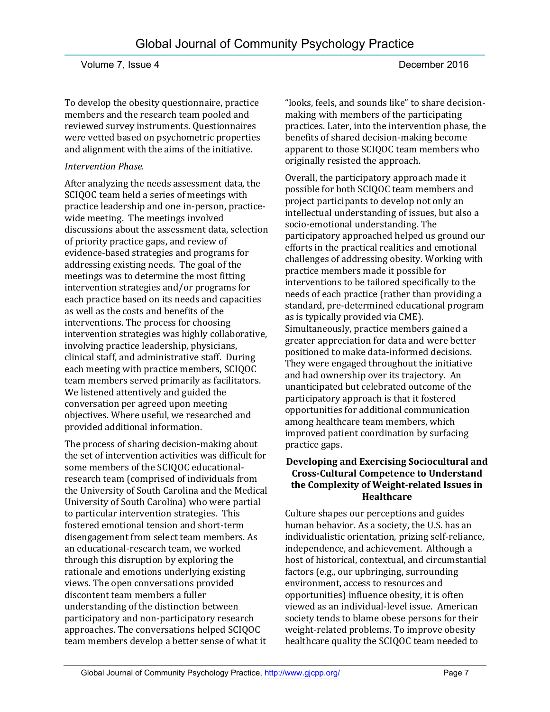To develop the obesity questionnaire, practice members and the research team pooled and reviewed survey instruments. Questionnaires were vetted based on psychometric properties and alignment with the aims of the initiative.

### *Intervention Phase.*

After analyzing the needs assessment data, the SCIQOC team held a series of meetings with practice leadership and one in-person, practicewide meeting. The meetings involved discussions about the assessment data, selection of priority practice gaps, and review of evidence-based strategies and programs for addressing existing needs. The goal of the meetings was to determine the most fitting intervention strategies and/or programs for each practice based on its needs and capacities as well as the costs and benefits of the interventions. The process for choosing intervention strategies was highly collaborative, involving practice leadership, physicians, clinical staff, and administrative staff. During each meeting with practice members, SCIQOC team members served primarily as facilitators. We listened attentively and guided the conversation per agreed upon meeting objectives. Where useful, we researched and provided additional information.

The process of sharing decision-making about the set of intervention activities was difficult for some members of the SCIQOC educationalresearch team (comprised of individuals from the University of South Carolina and the Medical University of South Carolina) who were partial to particular intervention strategies. This fostered emotional tension and short-term disengagement from select team members. As an educational-research team, we worked through this disruption by exploring the rationale and emotions underlying existing views. The open conversations provided discontent team members a fuller understanding of the distinction between participatory and non-participatory research approaches. The conversations helped SCIQOC team members develop a better sense of what it

"looks, feels, and sounds like" to share decisionmaking with members of the participating practices. Later, into the intervention phase, the benefits of shared decision-making become apparent to those SCIQOC team members who originally resisted the approach.

Overall, the participatory approach made it possible for both SCIQOC team members and project participants to develop not only an intellectual understanding of issues, but also a socio-emotional understanding. The participatory approached helped us ground our efforts in the practical realities and emotional challenges of addressing obesity. Working with practice members made it possible for interventions to be tailored specifically to the needs of each practice (rather than providing a standard, pre-determined educational program as is typically provided via CME). Simultaneously, practice members gained a greater appreciation for data and were better positioned to make data-informed decisions. They were engaged throughout the initiative and had ownership over its trajectory. An unanticipated but celebrated outcome of the participatory approach is that it fostered opportunities for additional communication among healthcare team members, which improved patient coordination by surfacing practice gaps.

### **Developing and Exercising Sociocultural and Cross-Cultural Competence to Understand the Complexity of Weight-related Issues in Healthcare**

Culture shapes our perceptions and guides human behavior. As a society, the U.S. has an individualistic orientation, prizing self-reliance, independence, and achievement. Although a host of historical, contextual, and circumstantial factors (e.g., our upbringing, surrounding environment, access to resources and opportunities) influence obesity, it is often viewed as an individual-level issue. American society tends to blame obese persons for their weight-related problems. To improve obesity healthcare quality the SCIQOC team needed to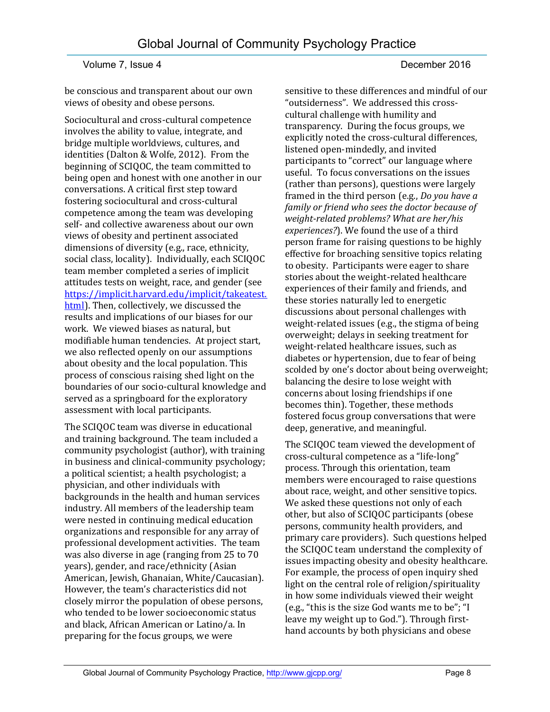be conscious and transparent about our own views of obesity and obese persons.

Sociocultural and cross-cultural competence involves the ability to value, integrate, and bridge multiple worldviews, cultures, and identities (Dalton & Wolfe, 2012). From the beginning of SCIQOC, the team committed to being open and honest with one another in our conversations. A critical first step toward fostering sociocultural and cross-cultural competence among the team was developing self- and collective awareness about our own views of obesity and pertinent associated dimensions of diversity (e.g., race, ethnicity, social class, locality). Individually, each SCIQOC team member completed a series of implicit attitudes tests on weight, race, and gender (see [https://implicit.harvard.edu/implicit/takeatest.](https://implicit.harvard.edu/implicit/takeatest.html) [html\)](https://implicit.harvard.edu/implicit/takeatest.html). Then, collectively, we discussed the results and implications of our biases for our work. We viewed biases as natural, but modifiable human tendencies. At project start, we also reflected openly on our assumptions about obesity and the local population. This process of conscious raising shed light on the boundaries of our socio-cultural knowledge and served as a springboard for the exploratory assessment with local participants.

The SCIQOC team was diverse in educational and training background. The team included a community psychologist (author), with training in business and clinical-community psychology; a political scientist; a health psychologist; a physician, and other individuals with backgrounds in the health and human services industry. All members of the leadership team were nested in continuing medical education organizations and responsible for any array of professional development activities. The team was also diverse in age (ranging from 25 to 70 years), gender, and race/ethnicity (Asian American, Jewish, Ghanaian, White/Caucasian). However, the team's characteristics did not closely mirror the population of obese persons, who tended to be lower socioeconomic status and black, African American or Latino/a. In preparing for the focus groups, we were

sensitive to these differences and mindful of our "outsiderness". We addressed this crosscultural challenge with humility and transparency. During the focus groups, we explicitly noted the cross-cultural differences, listened open-mindedly, and invited participants to "correct" our language where useful. To focus conversations on the issues (rather than persons), questions were largely framed in the third person (e.g., *Do you have a family or friend who sees the doctor because of weight-related problems? What are her/his experiences?*). We found the use of a third person frame for raising questions to be highly effective for broaching sensitive topics relating to obesity. Participants were eager to share stories about the weight-related healthcare experiences of their family and friends, and these stories naturally led to energetic discussions about personal challenges with weight-related issues (e.g., the stigma of being overweight; delays in seeking treatment for weight-related healthcare issues, such as diabetes or hypertension, due to fear of being scolded by one's doctor about being overweight; balancing the desire to lose weight with concerns about losing friendships if one becomes thin). Together, these methods fostered focus group conversations that were deep, generative, and meaningful.

The SCIQOC team viewed the development of cross-cultural competence as a "life-long" process. Through this orientation, team members were encouraged to raise questions about race, weight, and other sensitive topics. We asked these questions not only of each other, but also of SCIQOC participants (obese persons, community health providers, and primary care providers). Such questions helped the SCIQOC team understand the complexity of issues impacting obesity and obesity healthcare. For example, the process of open inquiry shed light on the central role of religion/spirituality in how some individuals viewed their weight (e.g., "this is the size God wants me to be"; "I leave my weight up to God."). Through firsthand accounts by both physicians and obese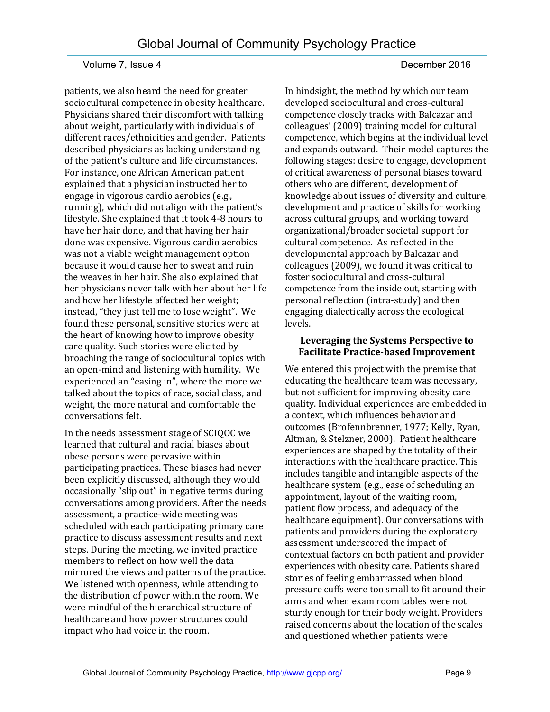patients, we also heard the need for greater sociocultural competence in obesity healthcare. Physicians shared their discomfort with talking about weight, particularly with individuals of different races/ethnicities and gender. Patients described physicians as lacking understanding of the patient's culture and life circumstances. For instance, one African American patient explained that a physician instructed her to engage in vigorous cardio aerobics (e.g., running), which did not align with the patient's lifestyle. She explained that it took 4-8 hours to have her hair done, and that having her hair done was expensive. Vigorous cardio aerobics was not a viable weight management option because it would cause her to sweat and ruin the weaves in her hair. She also explained that her physicians never talk with her about her life and how her lifestyle affected her weight; instead, "they just tell me to lose weight". We found these personal, sensitive stories were at the heart of knowing how to improve obesity care quality. Such stories were elicited by broaching the range of sociocultural topics with an open-mind and listening with humility. We experienced an "easing in", where the more we talked about the topics of race, social class, and weight, the more natural and comfortable the conversations felt.

In the needs assessment stage of SCIQOC we learned that cultural and racial biases about obese persons were pervasive within participating practices. These biases had never been explicitly discussed, although they would occasionally "slip out" in negative terms during conversations among providers. After the needs assessment, a practice-wide meeting was scheduled with each participating primary care practice to discuss assessment results and next steps. During the meeting, we invited practice members to reflect on how well the data mirrored the views and patterns of the practice. We listened with openness, while attending to the distribution of power within the room. We were mindful of the hierarchical structure of healthcare and how power structures could impact who had voice in the room.

#### In hindsight, the method by which our team developed sociocultural and cross-cultural competence closely tracks with Balcazar and colleagues' (2009) training model for cultural competence, which begins at the individual level and expands outward. Their model captures the following stages: desire to engage, development of critical awareness of personal biases toward others who are different, development of knowledge about issues of diversity and culture, development and practice of skills for working across cultural groups, and working toward organizational/broader societal support for cultural competence. As reflected in the developmental approach by Balcazar and colleagues (2009), we found it was critical to foster sociocultural and cross-cultural competence from the inside out, starting with personal reflection (intra-study) and then engaging dialectically across the ecological levels.

#### **Leveraging the Systems Perspective to Facilitate Practice-based Improvement**

We entered this project with the premise that educating the healthcare team was necessary, but not sufficient for improving obesity care quality. Individual experiences are embedded in a context, which influences behavior and outcomes (Brofennbrenner, 1977; Kelly, Ryan, Altman, & Stelzner, 2000). Patient healthcare experiences are shaped by the totality of their interactions with the healthcare practice. This includes tangible and intangible aspects of the healthcare system (e.g., ease of scheduling an appointment, layout of the waiting room, patient flow process, and adequacy of the healthcare equipment). Our conversations with patients and providers during the exploratory assessment underscored the impact of contextual factors on both patient and provider experiences with obesity care. Patients shared stories of feeling embarrassed when blood pressure cuffs were too small to fit around their arms and when exam room tables were not sturdy enough for their body weight. Providers raised concerns about the location of the scales and questioned whether patients were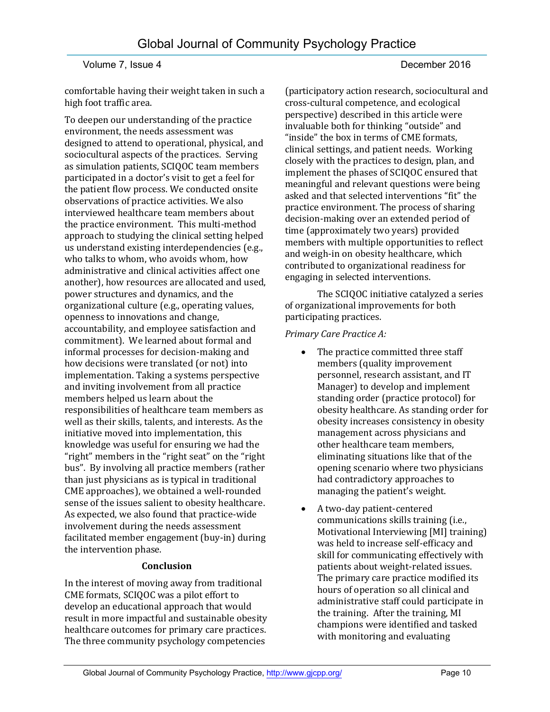comfortable having their weight taken in such a high foot traffic area.

To deepen our understanding of the practice environment, the needs assessment was designed to attend to operational, physical, and sociocultural aspects of the practices. Serving as simulation patients, SCIQOC team members participated in a doctor's visit to get a feel for the patient flow process. We conducted onsite observations of practice activities. We also interviewed healthcare team members about the practice environment. This multi-method approach to studying the clinical setting helped us understand existing interdependencies (e.g., who talks to whom, who avoids whom, how administrative and clinical activities affect one another), how resources are allocated and used, power structures and dynamics, and the organizational culture (e.g., operating values, openness to innovations and change, accountability, and employee satisfaction and commitment). We learned about formal and informal processes for decision-making and how decisions were translated (or not) into implementation. Taking a systems perspective and inviting involvement from all practice members helped us learn about the responsibilities of healthcare team members as well as their skills, talents, and interests. As the initiative moved into implementation, this knowledge was useful for ensuring we had the "right" members in the "right seat" on the "right bus". By involving all practice members (rather than just physicians as is typical in traditional CME approaches), we obtained a well-rounded sense of the issues salient to obesity healthcare. As expected, we also found that practice-wide involvement during the needs assessment facilitated member engagement (buy-in) during the intervention phase.

#### **Conclusion**

In the interest of moving away from traditional CME formats, SCIQOC was a pilot effort to develop an educational approach that would result in more impactful and sustainable obesity healthcare outcomes for primary care practices. The three community psychology competencies

(participatory action research, sociocultural and cross-cultural competence, and ecological perspective) described in this article were invaluable both for thinking "outside" and "inside" the box in terms of CME formats, clinical settings, and patient needs. Working closely with the practices to design, plan, and implement the phases of SCIQOC ensured that meaningful and relevant questions were being asked and that selected interventions "fit" the practice environment. The process of sharing decision-making over an extended period of time (approximately two years) provided members with multiple opportunities to reflect and weigh-in on obesity healthcare, which contributed to organizational readiness for engaging in selected interventions.

The SCIQOC initiative catalyzed a series of organizational improvements for both participating practices.

#### *Primary Care Practice A:*

- The practice committed three staff members (quality improvement personnel, research assistant, and IT Manager) to develop and implement standing order (practice protocol) for obesity healthcare. As standing order for obesity increases consistency in obesity management across physicians and other healthcare team members, eliminating situations like that of the opening scenario where two physicians had contradictory approaches to managing the patient's weight.
- A two-day patient-centered communications skills training (i.e., Motivational Interviewing [MI] training) was held to increase self-efficacy and skill for communicating effectively with patients about weight-related issues. The primary care practice modified its hours of operation so all clinical and administrative staff could participate in the training. After the training, MI champions were identified and tasked with monitoring and evaluating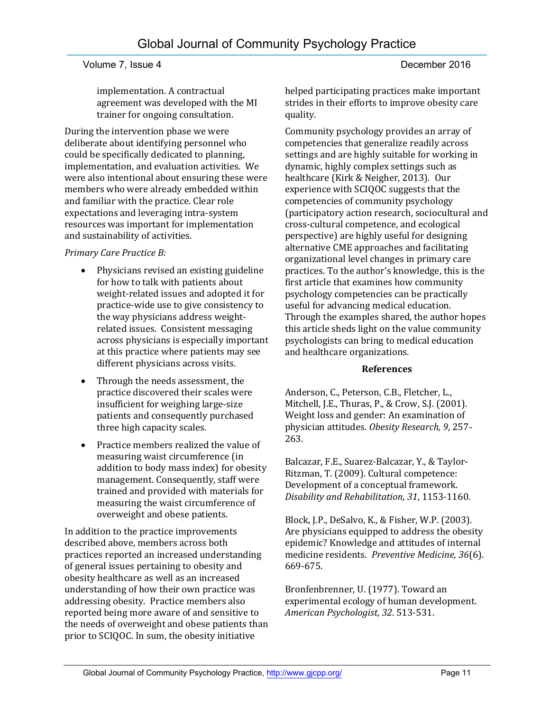implementation. A contractual agreement was developed with the MI trainer for ongoing consultation.

During the intervention phase we were deliberate about identifying personnel who could be specifically dedicated to planning, implementation, and evaluation activities. We were also intentional about ensuring these were members who were already embedded within and familiar with the practice. Clear role expectations and leveraging intra-system resources was important for implementation and sustainability of activities.

#### *Primary Care Practice B:*

- Physicians revised an existing guideline for how to talk with patients about weight-related issues and adopted it for practice-wide use to give consistency to the way physicians address weightrelated issues. Consistent messaging across physicians is especially important at this practice where patients may see different physicians across visits.
- Through the needs assessment, the practice discovered their scales were insufficient for weighing large-size patients and consequently purchased three high capacity scales.
- Practice members realized the value of measuring waist circumference (in addition to body mass index) for obesity management. Consequently, staff were trained and provided with materials for measuring the waist circumference of overweight and obese patients.

In addition to the practice improvements described above, members across both practices reported an increased understanding of general issues pertaining to obesity and obesity healthcare as well as an increased understanding of how their own practice was addressing obesity. Practice members also reported being more aware of and sensitive to the needs of overweight and obese patients than prior to SCIQOC. In sum, the obesity initiative

helped participating practices make important strides in their efforts to improve obesity care quality.

Community psychology provides an array of competencies that generalize readily across settings and are highly suitable for working in dynamic, highly complex settings such as healthcare (Kirk & Neigher, 2013). Our experience with SCIQOC suggests that the competencies of community psychology (participatory action research, sociocultural and cross-cultural competence, and ecological perspective) are highly useful for designing alternative CME approaches and facilitating organizational level changes in primary care practices. To the author's knowledge, this is the first article that examines how community psychology competencies can be practically useful for advancing medical education. Through the examples shared, the author hopes this article sheds light on the value community psychologists can bring to medical education and healthcare organizations.

#### **References**

Anderson, C., Peterson, C.B., Fletcher, L., Mitchell, J.E., Thuras, P., & Crow, S.J. (2001). Weight loss and gender: An examination of physician attitudes. *Obesity Research, 9*, 257- 263.

Balcazar, F.E., Suarez-Balcazar, Y., & Taylor-Ritzman, T. (2009). Cultural competence: Development of a conceptual framework. *Disability and Rehabilitation, 31*, 1153-1160.

Block, J.P., DeSalvo, K., & Fisher, W.P. (2003). Are physicians equipped to address the obesity epidemic? Knowledge and attitudes of internal medicine residents. *Preventive Medicine, 36*(6). 669-675.

Bronfenbrenner, U. (1977). Toward an experimental ecology of human development. *American Psychologist, 32*. 513-531.